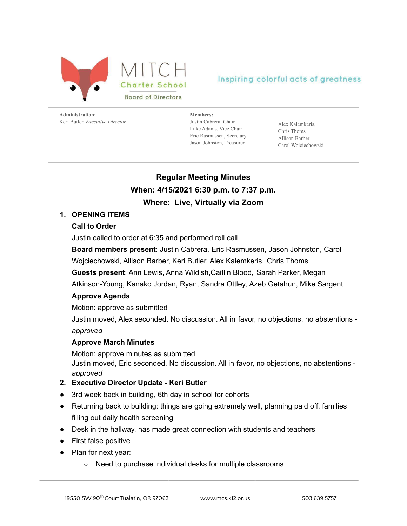

## Inspiring colorful acts of greatness

**Administration:** Keri Butler, *Executive Director*

**Members:** Justin Cabrera, Chair Luke Adams, Vice Chair Eric Rasmussen, Secretary Jason Johnston, Treasurer

Alex Kalemkeris, Chris Thoms Allison Barber Carol Wojciechowski

# **Regular Meeting Minutes When: 4/15/2021 6:30 p.m. to 7:37 p.m. Where: Live, Virtually via Zoom**

### **1. OPENING ITEMS**

#### **Call to Order**

Justin called to order at 6:35 and performed roll call

**Board members present**: Justin Cabrera, Eric Rasmussen, Jason Johnston, Carol

Wojciechowski, Allison Barber, Keri Butler, Alex Kalemkeris, Chris Thoms

**Guests present**: Ann Lewis, Anna Wildish,Caitlin Blood, Sarah Parker, Megan

Atkinson-Young, Kanako Jordan, Ryan, Sandra Ottley, Azeb Getahun, Mike Sargent

#### **Approve Agenda**

Motion: approve as submitted

Justin moved, Alex seconded. No discussion. All in favor, no objections, no abstentions *approved*

#### **Approve March Minutes**

Motion: approve minutes as submitted Justin moved, Eric seconded. No discussion. All in favor, no objections, no abstentions *approved*

#### **2. Executive Director Update - Keri Butler**

- 3rd week back in building, 6th day in school for cohorts
- Returning back to building: things are going extremely well, planning paid off, families filling out daily health screening
- Desk in the hallway, has made great connection with students and teachers
- First false positive
- Plan for next year:
	- Need to purchase individual desks for multiple classrooms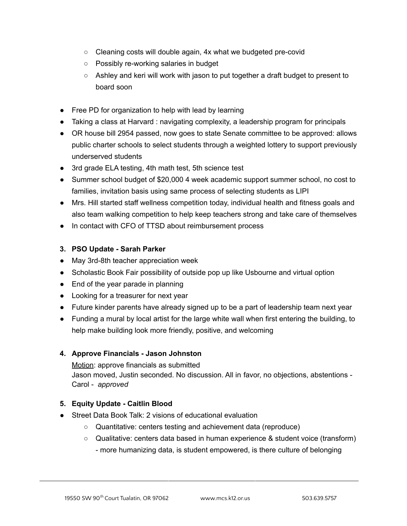- Cleaning costs will double again, 4x what we budgeted pre-covid
- Possibly re-working salaries in budget
- $\circ$  Ashley and keri will work with jason to put together a draft budget to present to board soon
- Free PD for organization to help with lead by learning
- Taking a class at Harvard : navigating complexity, a leadership program for principals
- OR house bill 2954 passed, now goes to state Senate committee to be approved: allows public charter schools to select students through a weighted lottery to support previously underserved students
- 3rd grade ELA testing, 4th math test, 5th science test
- Summer school budget of \$20,000 4 week academic support summer school, no cost to families, invitation basis using same process of selecting students as LIPI
- Mrs. Hill started staff wellness competition today, individual health and fitness goals and also team walking competition to help keep teachers strong and take care of themselves
- In contact with CFO of TTSD about reimbursement process

## **3. PSO Update - Sarah Parker**

- May 3rd-8th teacher appreciation week
- Scholastic Book Fair possibility of outside pop up like Usbourne and virtual option
- End of the year parade in planning
- Looking for a treasurer for next year
- Future kinder parents have already signed up to be a part of leadership team next year
- Funding a mural by local artist for the large white wall when first entering the building, to help make building look more friendly, positive, and welcoming

## **4. Approve Financials - Jason Johnston**

Motion: approve financials as submitted Jason moved, Justin seconded. No discussion. All in favor, no objections, abstentions - Carol - *approved*

## **5. Equity Update - Caitlin Blood**

- Street Data Book Talk: 2 visions of educational evaluation
	- Quantitative: centers testing and achievement data (reproduce)
	- Qualitative: centers data based in human experience & student voice (transform) - more humanizing data, is student empowered, is there culture of belonging